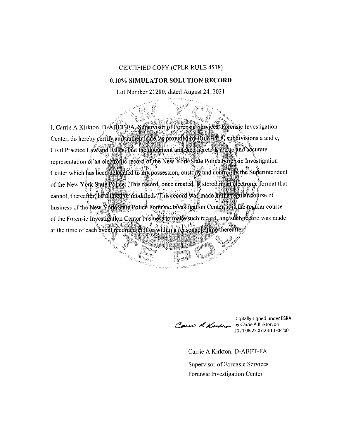## CERTIFIED COPY (CPLR RULE 4518)

## **0.10% SIMULATOR SOLUTION RECORD**

Lot Number 21280, dated August 24, 2021

I, Carrie A Kirkton, D-ABET-FA, Supervisor of Forensic Services. Egrensic Investigation Center, do hereby certify and authenticate, as provided by Rule 4518, subdivisions a and c, Civil Practice Law and Rules, that the document annexed hereto is a true and accurate representation of an electronic record of the New York State Police Forensic Investigation Center which has been delegated to my possession, custody and controlley the Superintendent of the New York State Police. This record, once created, is stored in an electronic format that cannot, thereafter, be altered or modified. This record was made in the regular course of business of the New York State Police Forensic Investigation Center, it is the regular course of the Forensic Investigation Center business to make such record, and such record was made at the time of each event recorded in it or whim a reasonable time thereafter

Sien für !

i keca

<sup>Va</sup>ria iĝi

Cau A. Kutho

Digitally signed under ESRA 2021.08.25 07:23:10-04'00'

Carrie A Kirkton, D-ABFT-FA Supervisor of Forensic Services Forensic Investigation Center